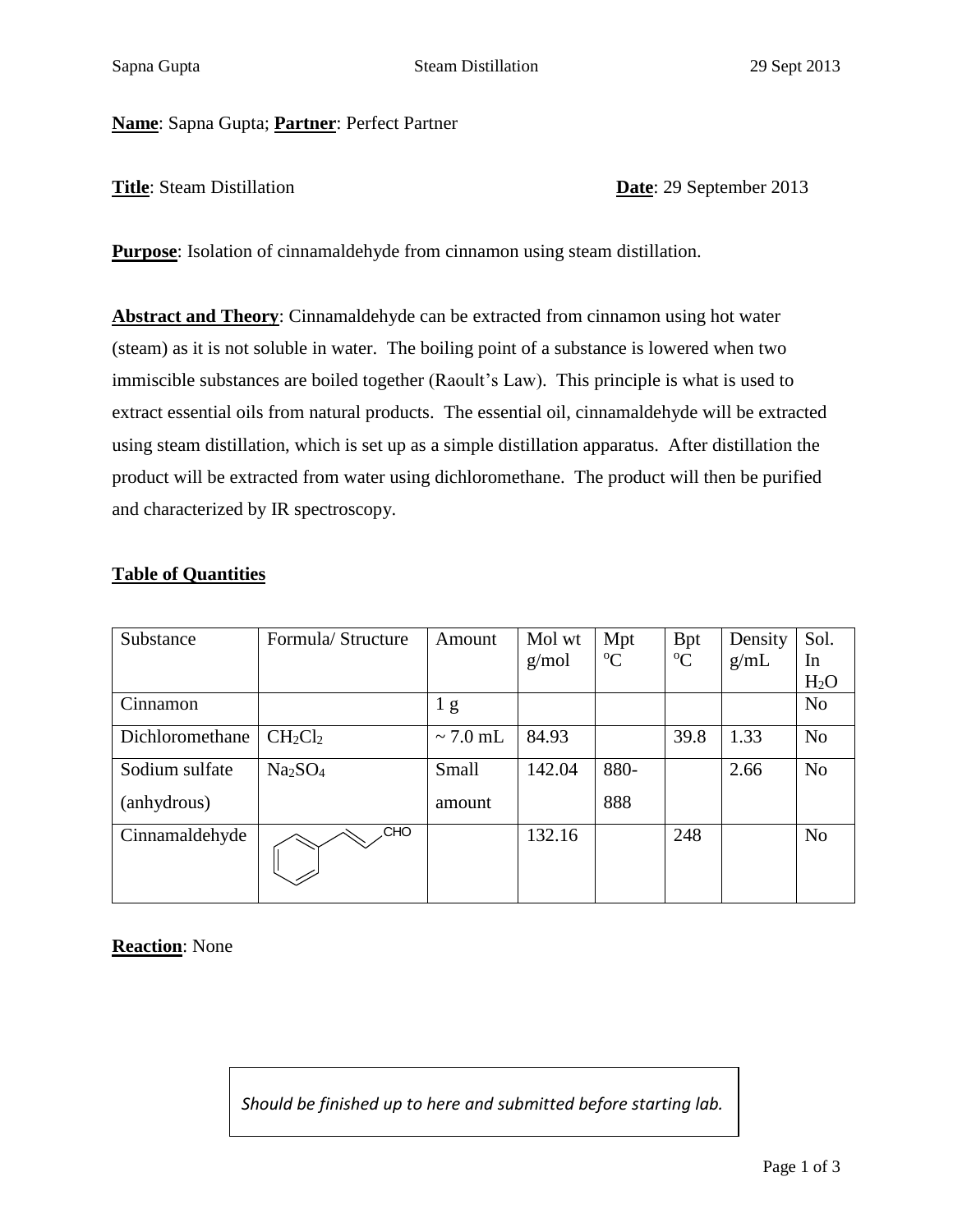**Name**: Sapna Gupta; **Partner**: Perfect Partner

**Title**: Steam Distillation **Date**: 29 September 2013

**Purpose**: Isolation of cinnamaldehyde from cinnamon using steam distillation.

**Abstract and Theory**: Cinnamaldehyde can be extracted from cinnamon using hot water (steam) as it is not soluble in water. The boiling point of a substance is lowered when two immiscible substances are boiled together (Raoult's Law). This principle is what is used to extract essential oils from natural products. The essential oil, cinnamaldehyde will be extracted using steam distillation, which is set up as a simple distillation apparatus. After distillation the product will be extracted from water using dichloromethane. The product will then be purified and characterized by IR spectroscopy.

## **Table of Quantities**

| Substance       | Formula/Structure               | Amount         | Mol wt | Mpt         | <b>Bpt</b>  | Density | Sol.             |
|-----------------|---------------------------------|----------------|--------|-------------|-------------|---------|------------------|
|                 |                                 |                | g/mol  | $\rm ^{o}C$ | $\rm ^{o}C$ | g/mL    | In               |
|                 |                                 |                |        |             |             |         | H <sub>2</sub> O |
| Cinnamon        |                                 | 1 <sub>g</sub> |        |             |             |         | N <sub>o</sub>   |
| Dichloromethane | $CH_2Cl_2$                      | $\sim$ 7.0 mL  | 84.93  |             | 39.8        | 1.33    | N <sub>o</sub>   |
| Sodium sulfate  | Na <sub>2</sub> SO <sub>4</sub> | Small          | 142.04 | 880-        |             | 2.66    | N <sub>o</sub>   |
| (anhydrous)     |                                 | amount         |        | 888         |             |         |                  |
| Cinnamaldehyde  | CHO.                            |                | 132.16 |             | 248         |         | N <sub>o</sub>   |

**Reaction**: None

*Should be finished up to here and submitted before starting lab.*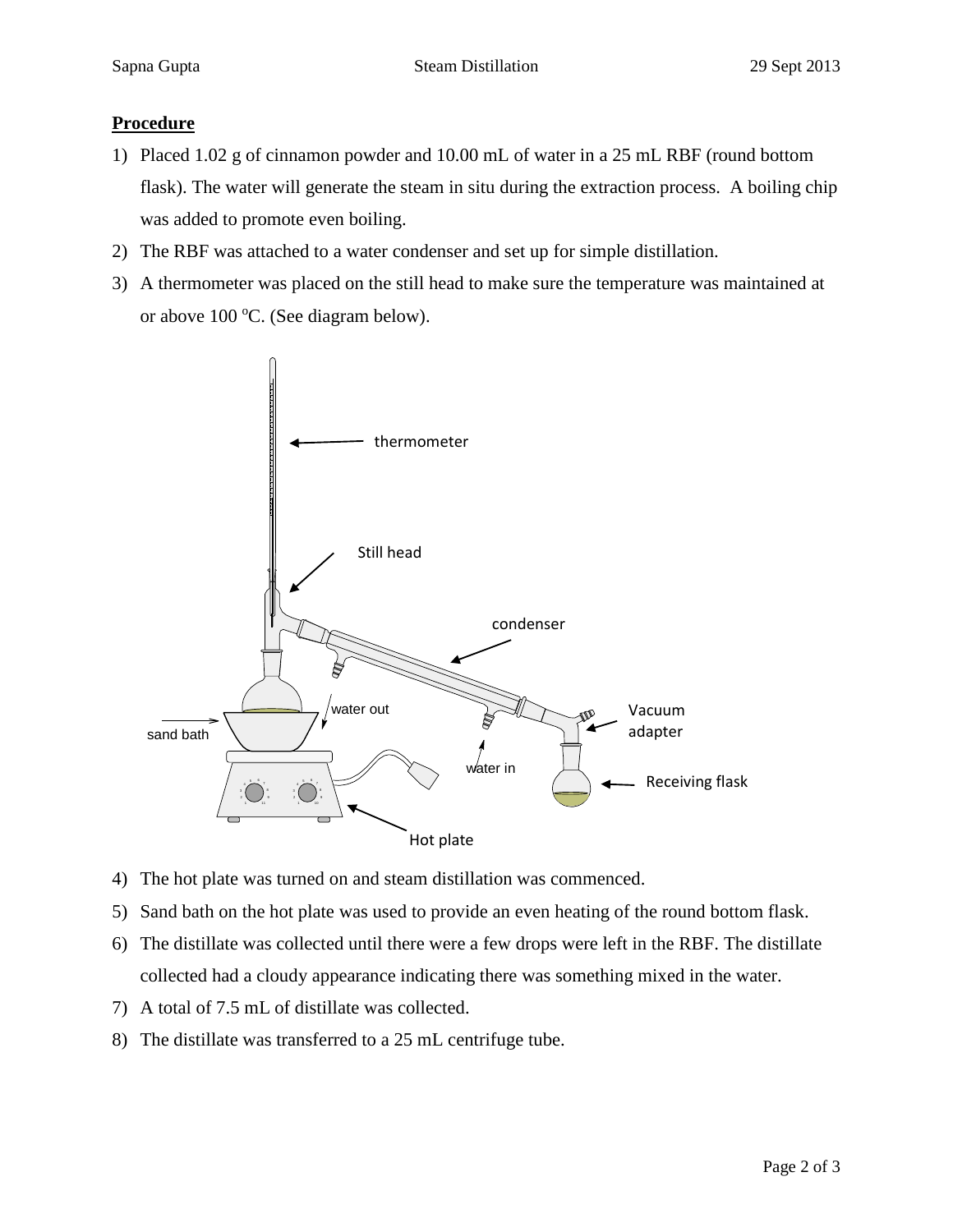## **Procedure**

- 1) Placed 1.02 g of cinnamon powder and 10.00 mL of water in a 25 mL RBF (round bottom flask). The water will generate the steam in situ during the extraction process. A boiling chip was added to promote even boiling.
- 2) The RBF was attached to a water condenser and set up for simple distillation.
- 3) A thermometer was placed on the still head to make sure the temperature was maintained at or above  $100 \, \text{°C}$ . (See diagram below).



- 4) The hot plate was turned on and steam distillation was commenced.
- 5) Sand bath on the hot plate was used to provide an even heating of the round bottom flask.
- 6) The distillate was collected until there were a few drops were left in the RBF. The distillate collected had a cloudy appearance indicating there was something mixed in the water.
- 7) A total of 7.5 mL of distillate was collected.
- 8) The distillate was transferred to a 25 mL centrifuge tube.